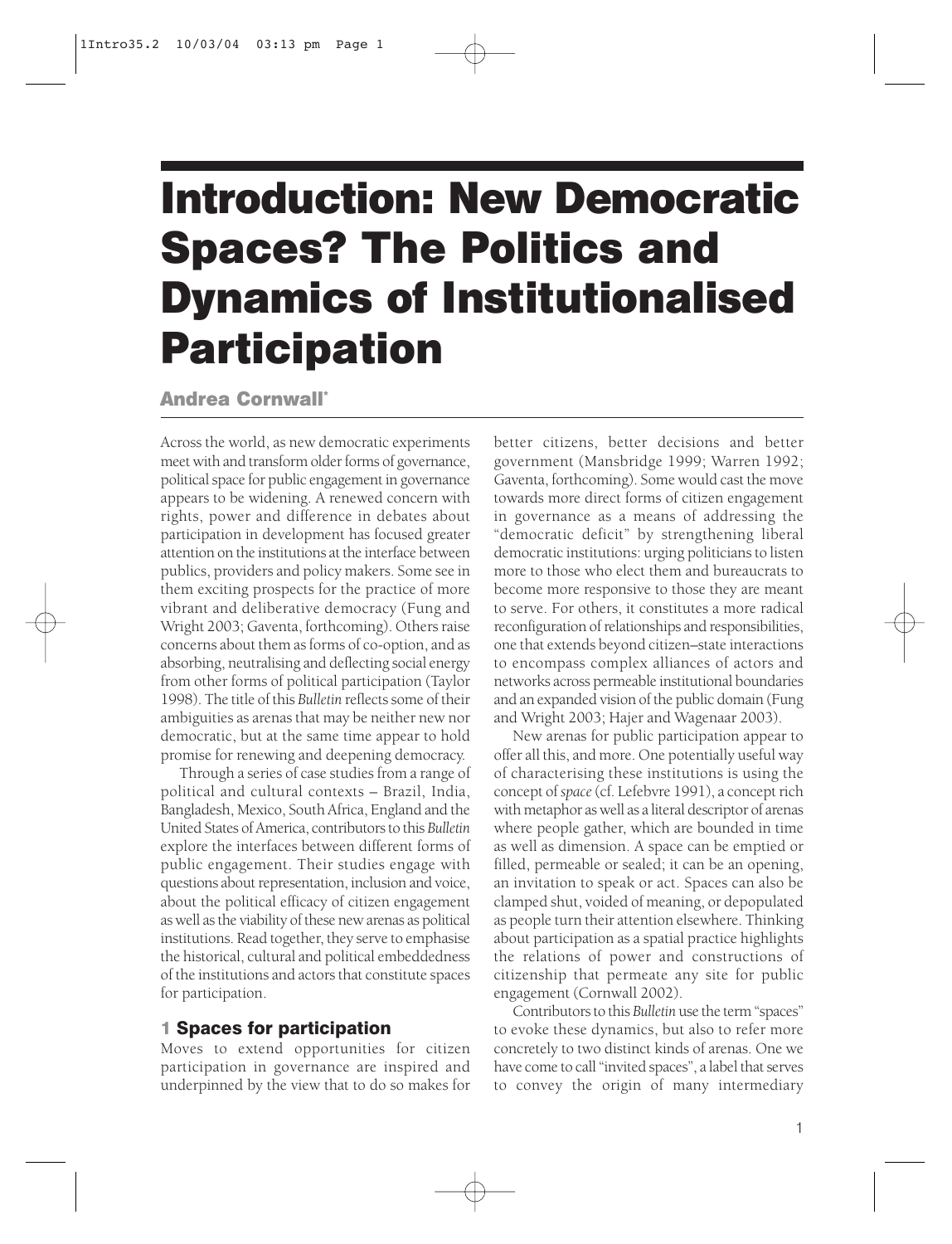# Introduction: New Democratic Spaces? The Politics and Dynamics of Institutionalised **Participation**

Andrea Cornwall\*

Across the world, as new democratic experiments meet with and transform older forms of governance, political space for public engagement in governance appears to be widening. A renewed concern with rights, power and difference in debates about participation in development has focused greater attention on the institutions at the interface between publics, providers and policy makers. Some see in them exciting prospects for the practice of more vibrant and deliberative democracy (Fung and Wright 2003; Gaventa, forthcoming). Others raise concerns about them as forms of co-option, and as absorbing, neutralising and deflecting social energy from other forms of political participation (Taylor 1998). The title of this *Bulletin* reflects some of their ambiguities as arenas that may be neither new nor democratic, but at the same time appear to hold promise for renewing and deepening democracy.

Through a series of case studies from a range of political and cultural contexts – Brazil, India, Bangladesh, Mexico, South Africa, England and the United States of America, contributors to this *Bulletin* explore the interfaces between different forms of public engagement. Their studies engage with questions about representation, inclusion and voice, about the political efficacy of citizen engagement as well as the viability of these new arenas as political institutions. Read together, they serve to emphasise the historical, cultural and political embeddedness of the institutions and actors that constitute spaces for participation.

### 1 Spaces for participation

Moves to extend opportunities for citizen participation in governance are inspired and underpinned by the view that to do so makes for better citizens, better decisions and better government (Mansbridge 1999; Warren 1992; Gaventa, forthcoming). Some would cast the move towards more direct forms of citizen engagement in governance as a means of addressing the "democratic deficit" by strengthening liberal democratic institutions: urging politicians to listen more to those who elect them and bureaucrats to become more responsive to those they are meant to serve. For others, it constitutes a more radical reconfiguration of relationships and responsibilities, one that extends beyond citizen–state interactions to encompass complex alliances of actors and networks across permeable institutional boundaries and an expanded vision of the public domain (Fung and Wright 2003; Hajer and Wagenaar 2003).

New arenas for public participation appear to offer all this, and more. One potentially useful way of characterising these institutions is using the concept of *space* (cf. Lefebvre 1991), a concept rich with metaphor as well as a literal descriptor of arenas where people gather, which are bounded in time as well as dimension. A space can be emptied or filled, permeable or sealed; it can be an opening, an invitation to speak or act. Spaces can also be clamped shut, voided of meaning, or depopulated as people turn their attention elsewhere. Thinking about participation as a spatial practice highlights the relations of power and constructions of citizenship that permeate any site for public engagement (Cornwall 2002).

Contributors to this *Bulletin* use the term "spaces" to evoke these dynamics, but also to refer more concretely to two distinct kinds of arenas. One we have come to call "invited spaces", a label that serves to convey the origin of many intermediary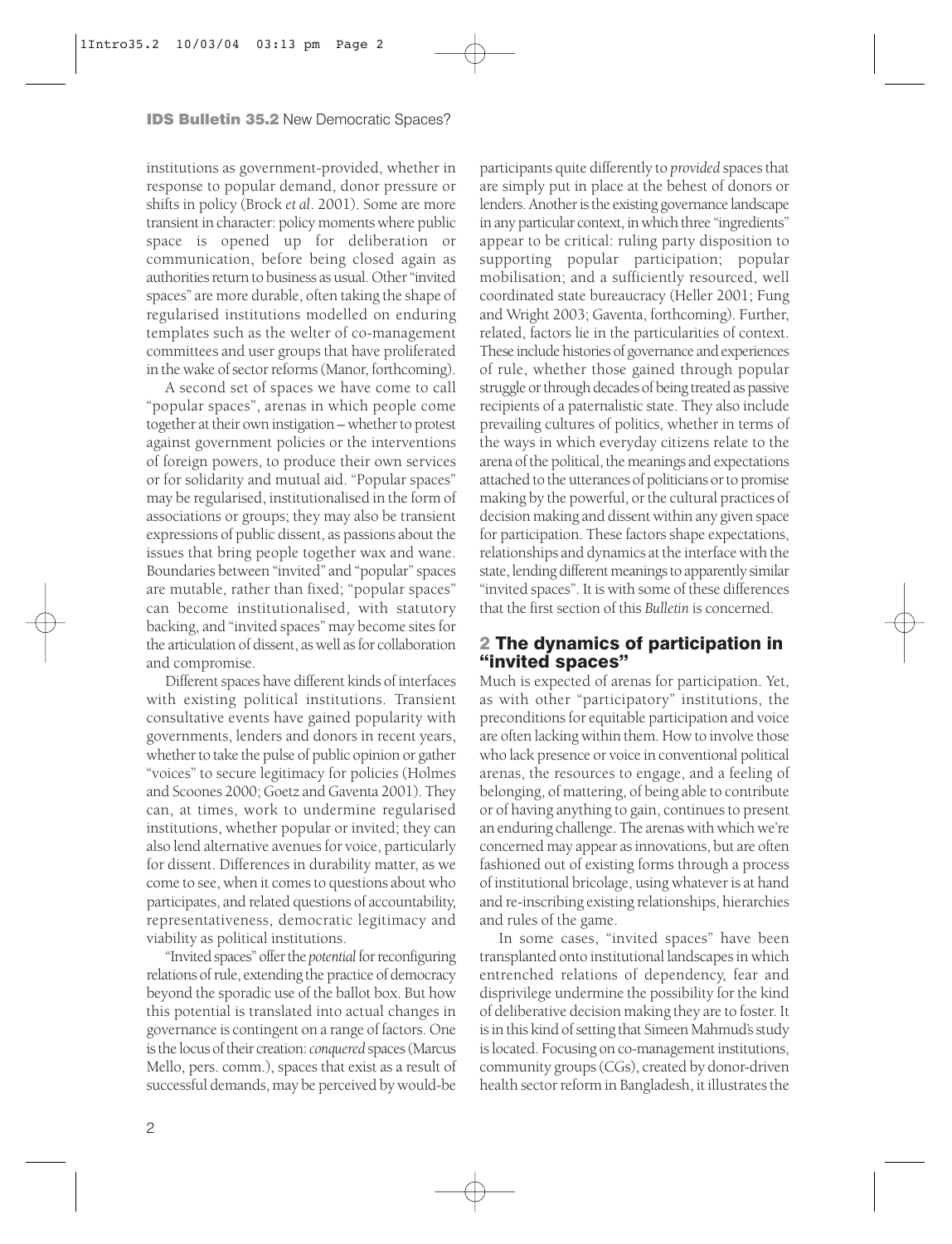institutions as government-provided, whether in response to popular demand, donor pressure or shifts in policy (Brock *et al*. 2001). Some are more transient in character: policy moments where public space is opened up for deliberation or communication, before being closed again as authorities return to business as usual. Other "invited spaces" are more durable, often taking the shape of regularised institutions modelled on enduring templates such as the welter of co-management committees and user groups that have proliferated in the wake of sector reforms (Manor, forthcoming).

A second set of spaces we have come to call "popular spaces", arenas in which people come together at their own instigation – whether to protest against government policies or the interventions of foreign powers, to produce their own services or for solidarity and mutual aid. "Popular spaces" may be regularised, institutionalised in the form of associations or groups; they may also be transient expressions of public dissent, as passions about the issues that bring people together wax and wane. Boundaries between "invited" and "popular" spaces are mutable, rather than fixed; "popular spaces" can become institutionalised, with statutory backing, and "invited spaces" may become sites for the articulation of dissent, as well as for collaboration and compromise.

Different spaces have different kinds of interfaces with existing political institutions. Transient consultative events have gained popularity with governments, lenders and donors in recent years, whether to take the pulse of public opinion or gather "voices" to secure legitimacy for policies (Holmes and Scoones 2000; Goetz and Gaventa 2001). They can, at times, work to undermine regularised institutions, whether popular or invited; they can also lend alternative avenues for voice, particularly for dissent. Differences in durability matter, as we come to see, when it comes to questions about who participates, and related questions of accountability, representativeness, democratic legitimacy and viability as political institutions.

"Invited spaces" offer the *potential* for reconfiguring relations of rule, extending the practice of democracy beyond the sporadic use of the ballot box. But how this potential is translated into actual changes in governance is contingent on a range of factors. One is the locus of their creation:*conquered* spaces (Marcus Mello, pers. comm.), spaces that exist as a result of successful demands, may be perceived by would-be

participants quite differently to *provided* spaces that are simply put in place at the behest of donors or lenders.Another is the existing governance landscape in any particular context, in which three "ingredients" appear to be critical: ruling party disposition to supporting popular participation; popular mobilisation; and a sufficiently resourced, well coordinated state bureaucracy (Heller 2001; Fung and Wright 2003; Gaventa, forthcoming). Further, related, factors lie in the particularities of context. These include histories of governance and experiences of rule, whether those gained through popular struggle or through decades of being treated as passive recipients of a paternalistic state. They also include prevailing cultures of politics, whether in terms of the ways in which everyday citizens relate to the arena of the political, themeanings and expectations attached to the utterances of politicians or to promise making by the powerful, or the cultural practices of decision making and dissent within any given space for participation. These factors shape expectations, relationships and dynamics at the interface with the state, lending different meanings to apparently similar "invited spaces". It is with some of these differences that the first section of this *Bulletin* is concerned.

# 2 The dynamics of participation in "invited spaces"

Much is expected of arenas for participation. Yet, as with other "participatory" institutions, the preconditions for equitable participation and voice are often lacking within them. How to involve those who lack presence or voice in conventional political arenas, the resources to engage, and a feeling of belonging, of mattering, of being able to contribute or of having anything to gain, continues to present an enduring challenge. The arenas with which we're concerned may appear as innovations, but are often fashioned out of existing forms through a process of institutional bricolage, using whatever is at hand and re-inscribing existing relationships, hierarchies and rules of the game.

In some cases, "invited spaces" have been transplanted onto institutional landscapes in which entrenched relations of dependency, fear and disprivilege undermine the possibility for the kind of deliberative decision making they are to foster. It is in this kind of setting that Simeen Mahmud's study is located. Focusing on co-management institutions, community groups (CGs), created by donor-driven health sector reform in Bangladesh, it illustrates the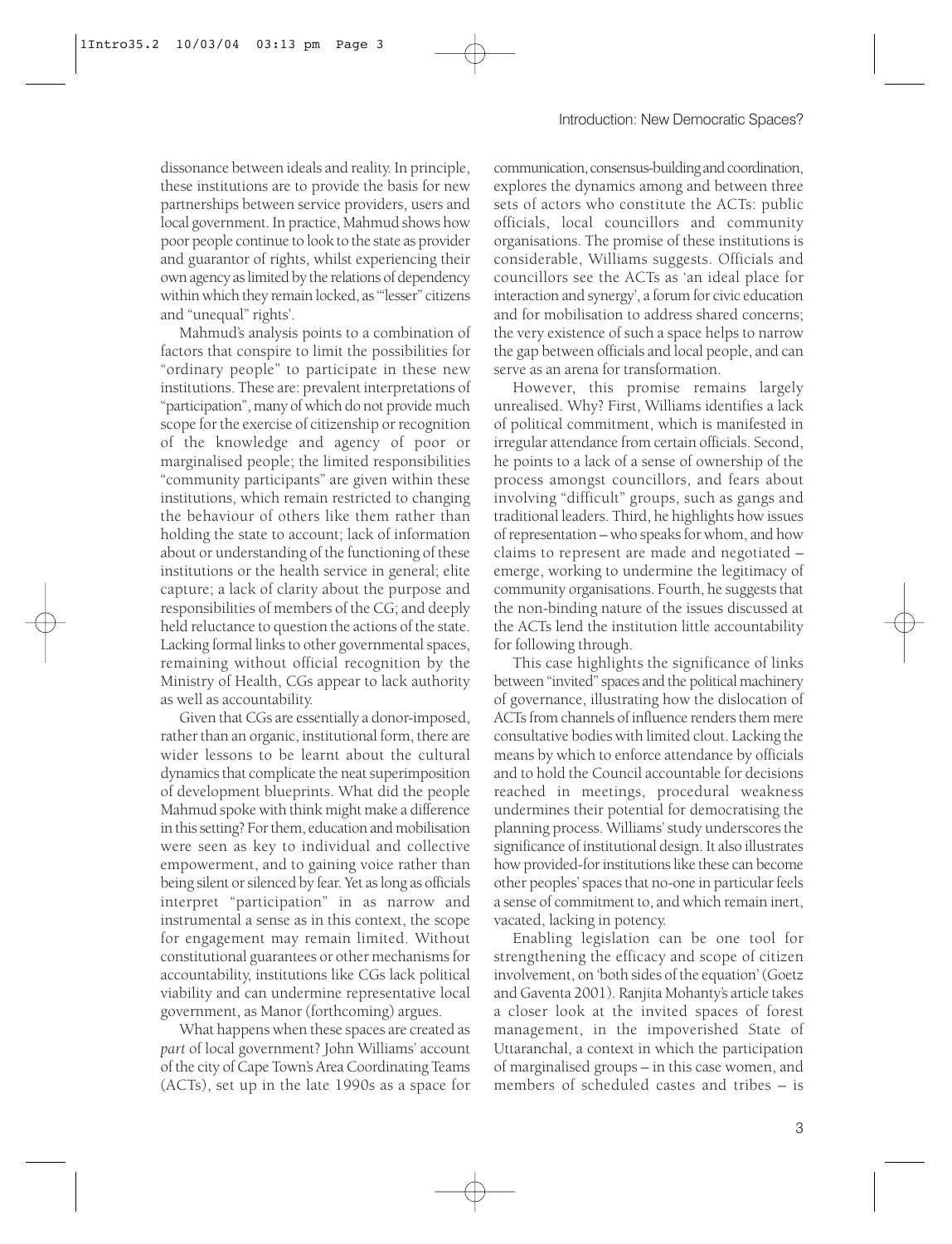Introduction: New Democratic Spaces?

dissonance between ideals and reality. In principle, these institutions are to provide the basis for new partnerships between service providers, users and local government. In practice, Mahmud shows how poor people continue to look to the state as provider and guarantor of rights, whilst experiencing their own agency as limited by the relations of dependency within which they remain locked, as '"lesser" citizens and "unequal" rights'.

Mahmud's analysis points to a combination of factors that conspire to limit the possibilities for "ordinary people" to participate in these new institutions. These are: prevalent interpretations of "participation", many of which do not provide much scope for the exercise of citizenship or recognition of the knowledge and agency of poor or marginalised people; the limited responsibilities "community participants" are given within these institutions, which remain restricted to changing the behaviour of others like them rather than holding the state to account; lack of information about or understanding of the functioning of these institutions or the health service in general; elite capture; a lack of clarity about the purpose and responsibilities of members of the CG; and deeply held reluctance to question the actions of the state. Lacking formal links to other governmental spaces, remaining without official recognition by the Ministry of Health, CGs appear to lack authority as well as accountability.

Given that CGs are essentially a donor-imposed, rather than an organic, institutional form, there are wider lessons to be learnt about the cultural dynamics that complicate the neat superimposition of development blueprints. What did the people Mahmud spoke with think might make a difference in this setting? For them, education and mobilisation were seen as key to individual and collective empowerment, and to gaining voice rather than being silent or silenced by fear. Yet as long as officials interpret "participation" in as narrow and instrumental a sense as in this context, the scope for engagement may remain limited. Without constitutional guarantees or other mechanisms for accountability, institutions like CGs lack political viability and can undermine representative local government, as Manor (forthcoming) argues.

What happens when these spaces are created as *part* of local government? John Williams' account of the city of Cape Town's Area Coordinating Teams (ACTs), set up in the late 1990s as a space for communication, consensus-building and coordination, explores the dynamics among and between three sets of actors who constitute the ACTs: public officials, local councillors and community organisations. The promise of these institutions is considerable, Williams suggests. Officials and councillors see the ACTs as 'an ideal place for interaction and synergy', a forum for civic education and for mobilisation to address shared concerns; the very existence of such a space helps to narrow the gap between officials and local people, and can serve as an arena for transformation.

However, this promise remains largely unrealised. Why? First, Williams identifies a lack of political commitment, which is manifested in irregular attendance from certain officials. Second, he points to a lack of a sense of ownership of the process amongst councillors, and fears about involving "difficult" groups, such as gangs and traditional leaders. Third, he highlights how issues of representation – who speaks for whom, and how claims to represent are made and negotiated – emerge, working to undermine the legitimacy of community organisations. Fourth, he suggests that the non-binding nature of the issues discussed at the ACTs lend the institution little accountability for following through.

This case highlights the significance of links between "invited" spaces and the political machinery of governance, illustrating how the dislocation of ACTs from channels of influence renders them mere consultative bodies with limited clout. Lacking the means by which to enforce attendance by officials and to hold the Council accountable for decisions reached in meetings, procedural weakness undermines their potential for democratising the planning process. Williams' study underscores the significance of institutional design. It also illustrates how provided-for institutions like these can become other peoples' spaces that no-one in particular feels a sense of commitment to, and which remain inert, vacated, lacking in potency.

Enabling legislation can be one tool for strengthening the efficacy and scope of citizen involvement, on 'both sides of the equation' (Goetz and Gaventa 2001). Ranjita Mohanty's article takes a closer look at the invited spaces of forest management, in the impoverished State of Uttaranchal, a context in which the participation of marginalised groups – in this case women, and members of scheduled castes and tribes – is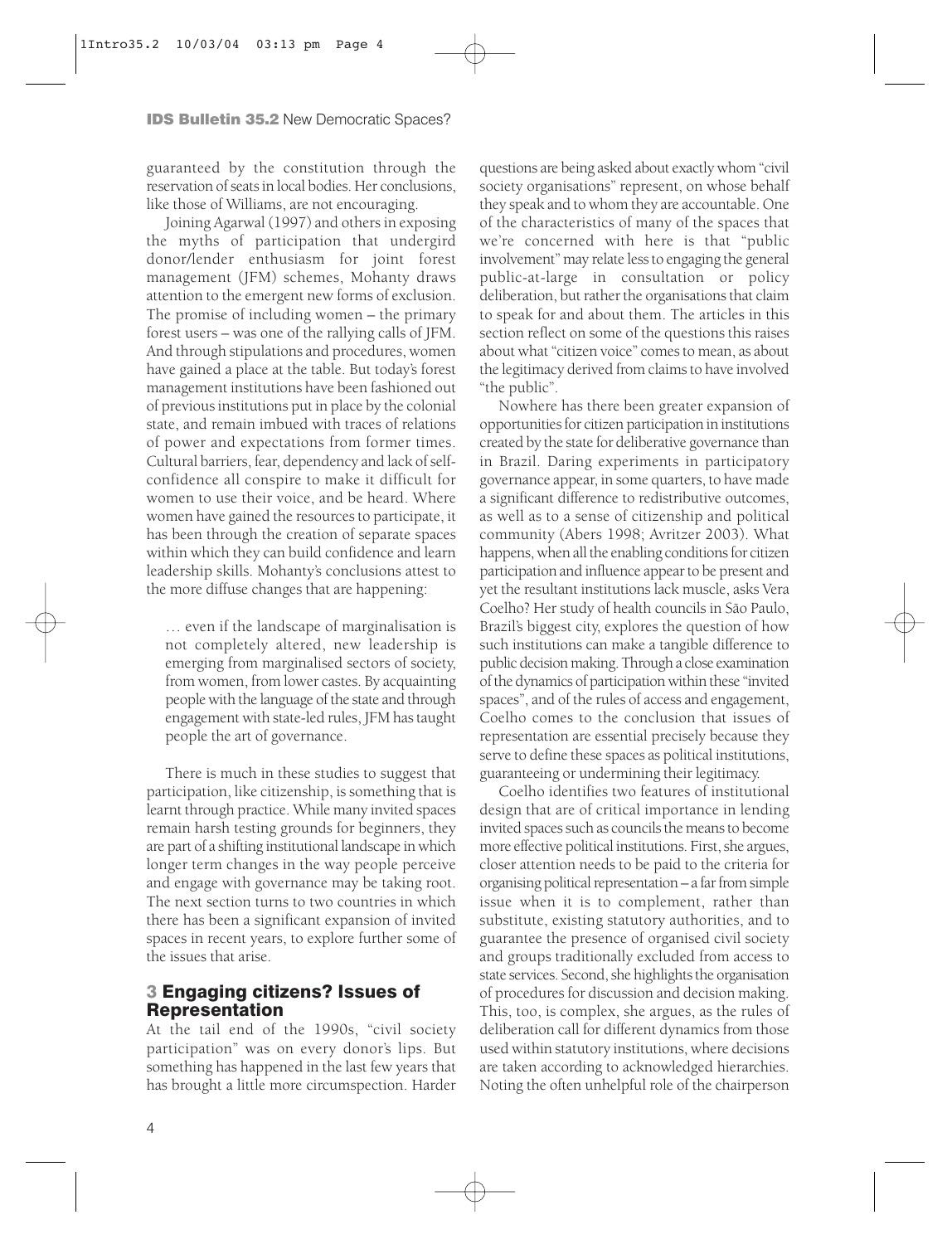guaranteed by the constitution through the reservation of seats in local bodies. Her conclusions, like those of Williams, are not encouraging.

Joining Agarwal (1997) and others in exposing the myths of participation that undergird donor/lender enthusiasm for joint forest management (JFM) schemes, Mohanty draws attention to the emergent new forms of exclusion. The promise of including women – the primary forest users – was one of the rallying calls of JFM. And through stipulations and procedures, women have gained a place at the table. But today's forest management institutions have been fashioned out of previous institutions put in place by the colonial state, and remain imbued with traces of relations of power and expectations from former times. Cultural barriers, fear, dependency and lack of selfconfidence all conspire to make it difficult for women to use their voice, and be heard. Where women have gained the resources to participate, it has been through the creation of separate spaces within which they can build confidence and learn leadership skills. Mohanty's conclusions attest to the more diffuse changes that are happening:

… even if the landscape of marginalisation is not completely altered, new leadership is emerging from marginalised sectors of society, from women, from lower castes. By acquainting people with the language of the state and through engagement with state-led rules, JFM has taught people the art of governance.

There is much in these studies to suggest that participation, like citizenship, is something that is learnt through practice. While many invited spaces remain harsh testing grounds for beginners, they are part of a shifting institutional landscape in which longer term changes in the way people perceive and engage with governance may be taking root. The next section turns to two countries in which there has been a significant expansion of invited spaces in recent years, to explore further some of the issues that arise.

# 3 Engaging citizens? Issues of Representation

At the tail end of the 1990s, "civil society participation" was on every donor's lips. But something has happened in the last few years that has brought a little more circumspection. Harder questions are being asked about exactly whom "civil society organisations" represent, on whose behalf they speak and to whom they are accountable. One of the characteristics of many of the spaces that we're concerned with here is that "public involvement" may relate less to engaging the general public-at-large in consultation or policy deliberation, but rather the organisations that claim to speak for and about them. The articles in this section reflect on some of the questions this raises about what "citizen voice" comes to mean, as about the legitimacy derived from claims to have involved "the public".

Nowhere has there been greater expansion of opportunities for citizen participation in institutions created by the state for deliberative governance than in Brazil. Daring experiments in participatory governance appear, in some quarters, to have made a significant difference to redistributive outcomes, as well as to a sense of citizenship and political community (Abers 1998; Avritzer 2003). What happens, when all the enabling conditions for citizen participation and influence appear to be present and yet the resultant institutions lack muscle, asks Vera Coelho? Her study of health councils in São Paulo, Brazil's biggest city, explores the question of how such institutions can make a tangible difference to public decision making. Through a close examination of the dynamics of participation within these "invited spaces", and of the rules of access and engagement, Coelho comes to the conclusion that issues of representation are essential precisely because they serve to define these spaces as political institutions, guaranteeing or undermining their legitimacy.

Coelho identifies two features of institutional design that are of critical importance in lending invited spaces such as councils the means to become more effective political institutions. First, she argues, closer attention needs to be paid to the criteria for organising political representation – a far from simple issue when it is to complement, rather than substitute, existing statutory authorities, and to guarantee the presence of organised civil society and groups traditionally excluded from access to state services. Second, she highlights the organisation of procedures for discussion and decision making. This, too, is complex, she argues, as the rules of deliberation call for different dynamics from those used within statutory institutions, where decisions are taken according to acknowledged hierarchies. Noting the often unhelpful role of the chairperson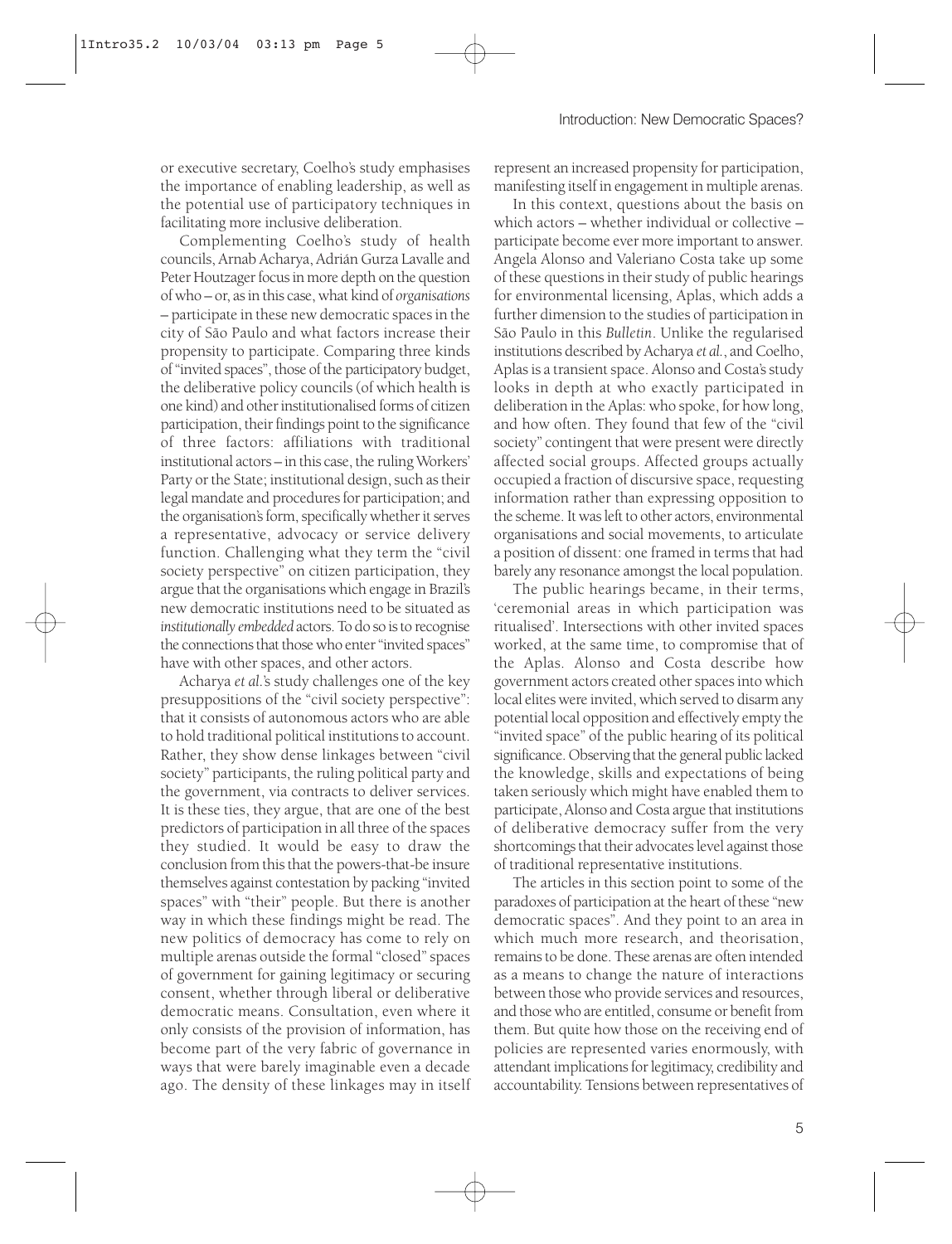or executive secretary, Coelho's study emphasises the importance of enabling leadership, as well as the potential use of participatory techniques in facilitating more inclusive deliberation.

Complementing Coelho's study of health councils, Arnab Acharya, AdriánGurza Lavalle and Peter Houtzager focus in more depth on the question of who – or, as in this case, what kind of *organisations* – participate in these new democratic spaces in the city of São Paulo and what factors increase their propensity to participate. Comparing three kinds of"invited spaces", those of the participatory budget, the deliberative policy councils (of which health is one kind) and other institutionalised forms of citizen participation, their findings point to the significance of three factors: affiliations with traditional institutional actors – in this case, the rulingWorkers' Party or the State; institutional design, such as their legal mandate and procedures for participation; and the organisation's form, specifically whether it serves a representative, advocacy or service delivery function. Challenging what they term the "civil society perspective" on citizen participation, they argue that the organisations which engage in Brazil's new democratic institutions need to be situated as *institutionally embedded* actors. To do so is to recognise the connections that those who enter "invited spaces" have with other spaces, and other actors.

Acharya *et al.*'s study challenges one of the key presuppositions of the "civil society perspective": that it consists of autonomous actors who are able to hold traditional political institutions to account. Rather, they show dense linkages between "civil society" participants, the ruling political party and the government, via contracts to deliver services. It is these ties, they argue, that are one of the best predictors of participation in all three of the spaces they studied. It would be easy to draw the conclusion from this that the powers-that-be insure themselves against contestation by packing "invited spaces" with "their" people. But there is another way in which these findings might be read. The new politics of democracy has come to rely on multiple arenas outside the formal "closed" spaces of government for gaining legitimacy or securing consent, whether through liberal or deliberative democratic means. Consultation, even where it only consists of the provision of information, has become part of the very fabric of governance in ways that were barely imaginable even a decade ago. The density of these linkages may in itself represent an increased propensity for participation, manifesting itself in engagement in multiple arenas.

In this context, questions about the basis on which actors – whether individual or collective – participate become ever more important to answer. Angela Alonso and Valeriano Costa take up some of these questions in their study of public hearings for environmental licensing, Aplas, which adds a further dimension to the studies of participation in São Paulo in this *Bulletin*. Unlike the regularised institutions described by Acharya *et al.*, and Coelho, Aplas is a transient space. Alonso and Costa's study looks in depth at who exactly participated in deliberation in the Aplas: who spoke, for how long, and how often. They found that few of the "civil society" contingent that were present were directly affected social groups. Affected groups actually occupied a fraction of discursive space, requesting information rather than expressing opposition to the scheme.It was left to other actors, environmental organisations and social movements, to articulate a position of dissent: one framed in terms that had barely any resonance amongst the local population.

The public hearings became, in their terms, 'ceremonial areas in which participation was ritualised'. Intersections with other invited spaces worked, at the same time, to compromise that of the Aplas. Alonso and Costa describe how government actors created other spaces into which local elites were invited, which served to disarm any potential local opposition and effectively empty the "invited space" of the public hearing of its political significance.Observing that the general public lacked the knowledge, skills and expectations of being taken seriously which might have enabled them to participate, Alonso and Costa argue that institutions of deliberative democracy suffer from the very shortcomings that their advocates level against those of traditional representative institutions.

The articles in this section point to some of the paradoxes of participation at the heart of these "new democratic spaces". And they point to an area in which much more research, and theorisation, remains to be done. These arenas are often intended as a means to change the nature of interactions between those who provide services and resources, and those who are entitled, consume or benefit from them. But quite how those on the receiving end of policies are represented varies enormously, with attendant implications for legitimacy, credibility and accountability. Tensions between representatives of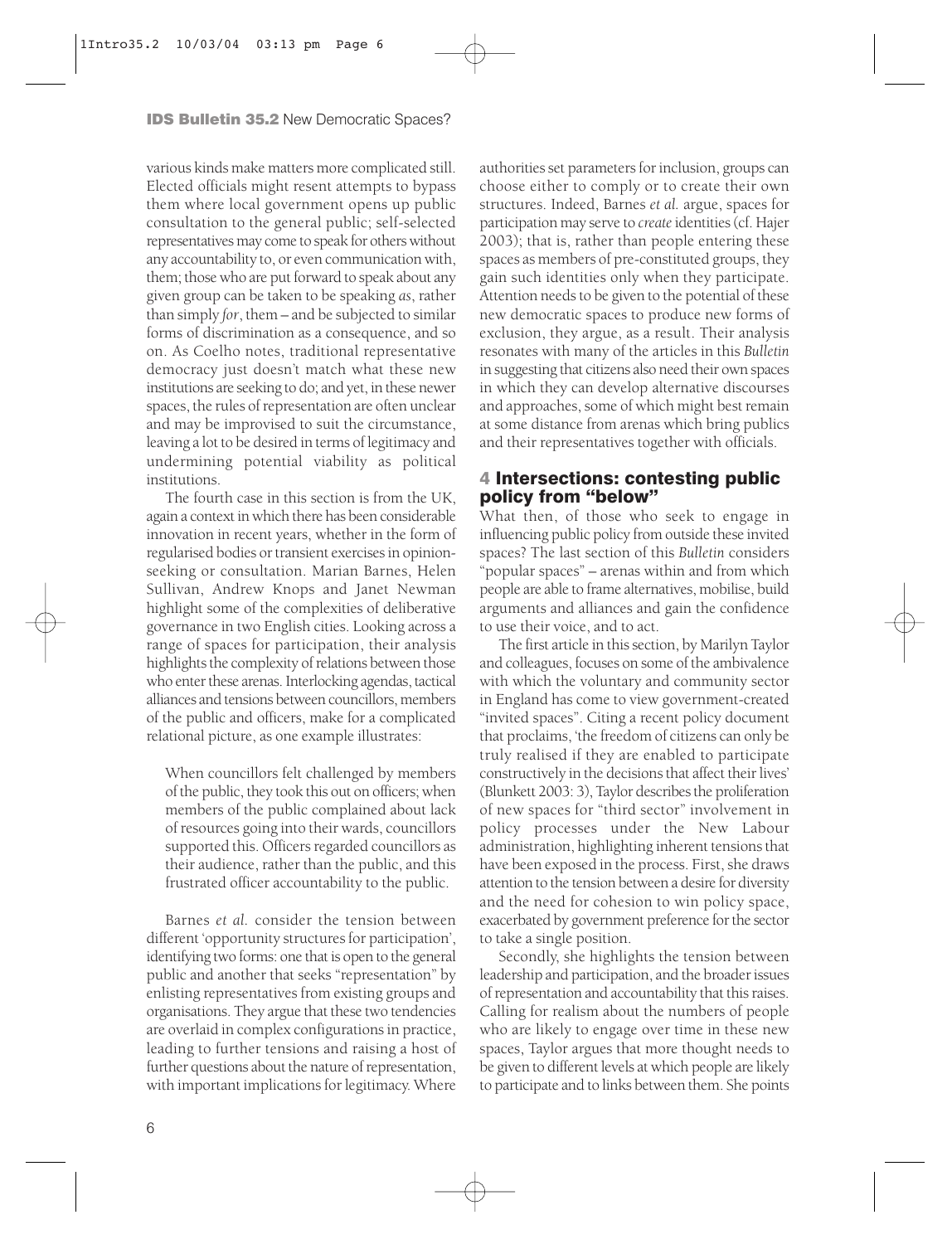various kinds make matters more complicated still. Elected officials might resent attempts to bypass them where local government opens up public consultation to the general public; self-selected representatives may come to speak for others without any accountability to, or even communication with, them; those who are put forward to speak about any given group can be taken to be speaking *as*, rather than simply *for*, them – and be subjected to similar forms of discrimination as a consequence, and so on. As Coelho notes, traditional representative democracy just doesn't match what these new institutions are seeking to do; and yet, in these newer spaces, the rules of representation are often unclear and may be improvised to suit the circumstance, leaving a lot to be desired in terms of legitimacy and undermining potential viability as political institutions.

The fourth case in this section is from the UK, again a context in which there has been considerable innovation in recent years, whether in the form of regularised bodies or transient exercises in opinionseeking or consultation. Marian Barnes, Helen Sullivan, Andrew Knops and Janet Newman highlight some of the complexities of deliberative governance in two English cities. Looking across a range of spaces for participation, their analysis highlights the complexity of relations between those who enter these arenas.Interlocking agendas, tactical alliances and tensions between councillors, members of the public and officers, make for a complicated relational picture, as one example illustrates:

When councillors felt challenged by members of the public, they took this out on officers; when members of the public complained about lack of resources going into their wards, councillors supported this. Officers regarded councillors as their audience, rather than the public, and this frustrated officer accountability to the public.

Barnes *et al.* consider the tension between different 'opportunity structures for participation', identifying two forms: one that is open to the general public and another that seeks "representation" by enlisting representatives from existing groups and organisations. They argue that these two tendencies are overlaid in complex configurations in practice, leading to further tensions and raising a host of further questions about the nature of representation, with important implications for legitimacy. Where

authorities set parameters for inclusion, groups can choose either to comply or to create their own structures. Indeed, Barnes *et al.* argue, spaces for participation may serve to *create*identities (cf. Hajer 2003); that is, rather than people entering these spaces as members of pre-constituted groups, they gain such identities only when they participate. Attention needs to be given to the potential of these new democratic spaces to produce new forms of exclusion, they argue, as a result. Their analysis resonates with many of the articles in this *Bulletin* in suggesting that citizens also need their own spaces in which they can develop alternative discourses and approaches, some of which might best remain at some distance from arenas which bring publics and their representatives together with officials.

# 4 Intersections: contesting public policy from "below"

What then, of those who seek to engage in influencing public policy from outside these invited spaces? The last section of this *Bulletin* considers "popular spaces" – arenas within and from which people are able to frame alternatives, mobilise, build arguments and alliances and gain the confidence to use their voice, and to act.

The first article in this section, by Marilyn Taylor and colleagues, focuses on some of the ambivalence with which the voluntary and community sector in England has come to view government-created "invited spaces". Citing a recent policy document that proclaims, 'the freedom of citizens can only be truly realised if they are enabled to participate constructively in the decisions that affect their lives' (Blunkett 2003: 3), Taylor describes the proliferation of new spaces for "third sector" involvement in policy processes under the New Labour administration, highlighting inherent tensions that have been exposed in the process. First, she draws attention to the tension between a desire for diversity and the need for cohesion to win policy space, exacerbated by government preference for the sector to take a single position.

Secondly, she highlights the tension between leadership and participation, and the broader issues of representation and accountability that this raises. Calling for realism about the numbers of people who are likely to engage over time in these new spaces, Taylor argues that more thought needs to be given to different levels at which people are likely to participate and to links between them. She points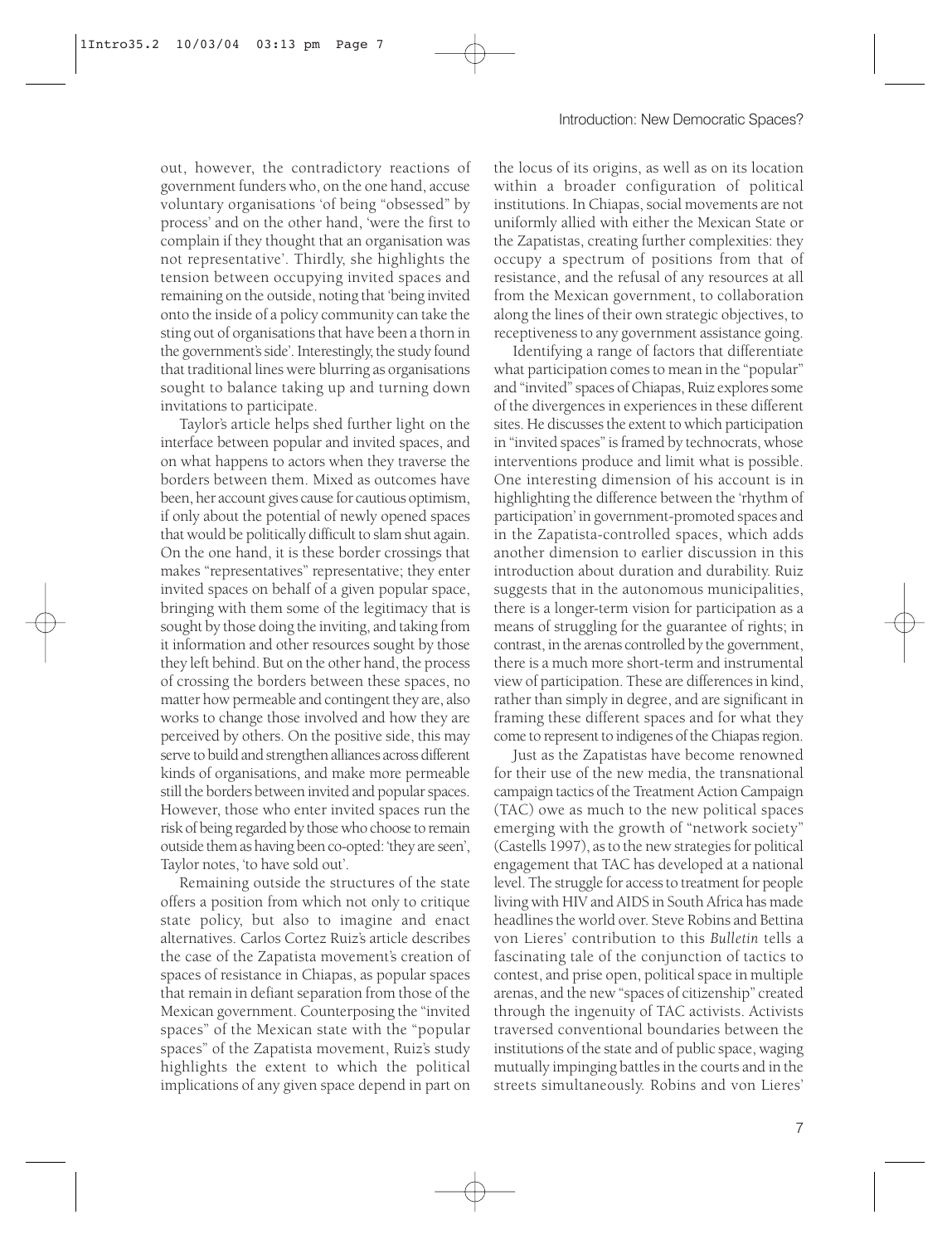Introduction: New Democratic Spaces?

out, however, the contradictory reactions of government funders who, on the one hand, accuse voluntary organisations 'of being "obsessed" by process' and on the other hand, 'were the first to complain if they thought that an organisation was not representative'. Thirdly, she highlights the tension between occupying invited spaces and remaining on the outside, noting that 'being invited onto the inside of a policy community can take the sting out of organisations that have been a thorn in the government's side'. Interestingly, the study found that traditional lines were blurring as organisations sought to balance taking up and turning down invitations to participate.

Taylor's article helps shed further light on the interface between popular and invited spaces, and on what happens to actors when they traverse the borders between them. Mixed as outcomes have been, her account gives cause for cautious optimism, if only about the potential of newly opened spaces that would be politically difficult to slam shut again. On the one hand, it is these border crossings that makes "representatives" representative; they enter invited spaces on behalf of a given popular space, bringing with them some of the legitimacy that is sought by those doing the inviting, and taking from it information and other resources sought by those they left behind. But on the other hand, the process of crossing the borders between these spaces, no matter how permeable and contingent they are, also works to change those involved and how they are perceived by others. On the positive side, this may serve to build and strengthen alliances across different kinds of organisations, and make more permeable still the borders between invited and popular spaces. However, those who enter invited spaces run the risk of being regarded by those who choose to remain outside themas having been co-opted: 'they are seen', Taylor notes, 'to have sold out'.

Remaining outside the structures of the state offers a position from which not only to critique state policy, but also to imagine and enact alternatives. Carlos Cortez Ruiz's article describes the case of the Zapatista movement's creation of spaces of resistance in Chiapas, as popular spaces that remain in defiant separation from those of the Mexican government. Counterposing the "invited spaces" of the Mexican state with the "popular spaces" of the Zapatista movement, Ruiz's study highlights the extent to which the political implications of any given space depend in part on the locus of its origins, as well as on its location within a broader configuration of political institutions. In Chiapas, social movements are not uniformly allied with either the Mexican State or the Zapatistas, creating further complexities: they occupy a spectrum of positions from that of resistance, and the refusal of any resources at all from the Mexican government, to collaboration along the lines of their own strategic objectives, to receptiveness to any government assistance going.

Identifying a range of factors that differentiate what participation comes to mean in the "popular" and "invited" spaces of Chiapas, Ruiz explores some of the divergences in experiences in these different sites. He discusses the extent to which participation in "invited spaces" is framed by technocrats, whose interventions produce and limit what is possible. One interesting dimension of his account is in highlighting the difference between the 'rhythm of participation' in government-promoted spaces and in the Zapatista-controlled spaces, which adds another dimension to earlier discussion in this introduction about duration and durability. Ruiz suggests that in the autonomous municipalities, there is a longer-term vision for participation as a means of struggling for the guarantee of rights; in contrast, in the arenas controlled by the government, there is a much more short-term and instrumental view of participation. These are differences in kind, rather than simply in degree, and are significant in framing these different spaces and for what they come to represent to indigenes of theChiapas region.

Just as the Zapatistas have become renowned for their use of the new media, the transnational campaign tactics of the Treatment Action Campaign (TAC) owe as much to the new political spaces emerging with the growth of "network society" (Castells 1997), as to the new strategies for political engagement that TAC has developed at a national level. The struggle for access to treatment for people living with HIV and AIDS in South Africa has made headlines the world over. Steve Robins and Bettina von Lieres' contribution to this *Bulletin* tells a fascinating tale of the conjunction of tactics to contest, and prise open, political space in multiple arenas, and the new "spaces of citizenship" created through the ingenuity of TAC activists. Activists traversed conventional boundaries between the institutions of the state and of public space, waging mutually impinging battles in the courts and in the streets simultaneously. Robins and von Lieres'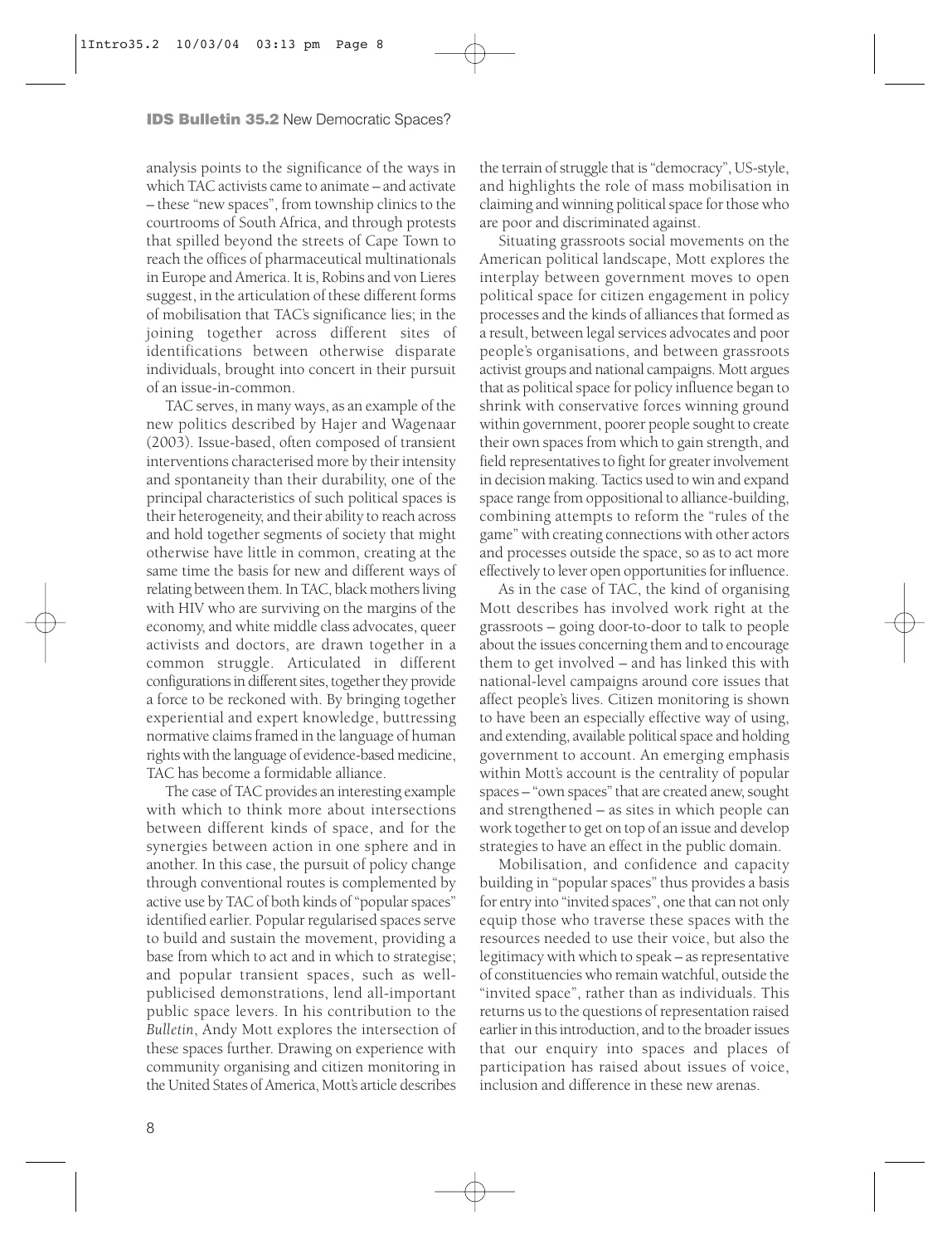analysis points to the significance of the ways in which TAC activists came to animate – and activate – these "new spaces", from township clinics to the courtrooms of South Africa, and through protests that spilled beyond the streets of Cape Town to reach the offices of pharmaceutical multinationals in Europe and America. It is, Robins and von Lieres suggest, in the articulation of these different forms of mobilisation that TAC's significance lies; in the joining together across different sites of identifications between otherwise disparate individuals, brought into concert in their pursuit of an issue-in-common.

TAC serves, in many ways, as an example of the new politics described by Hajer and Wagenaar (2003). Issue-based, often composed of transient interventions characterised more by their intensity and spontaneity than their durability, one of the principal characteristics of such political spaces is their heterogeneity, and their ability to reach across and hold together segments of society that might otherwise have little in common, creating at the same time the basis for new and different ways of relating between them.In TAC, black mothers living with HIV who are surviving on the margins of the economy, and white middle class advocates, queer activists and doctors, are drawn together in a common struggle. Articulated in different configurations in different sites, together they provide a force to be reckoned with. By bringing together experiential and expert knowledge, buttressing normative claims framed in the language of human rights with the language of evidence-basedmedicine, TAC has become a formidable alliance.

The case of TAC provides an interesting example with which to think more about intersections between different kinds of space, and for the synergies between action in one sphere and in another. In this case, the pursuit of policy change through conventional routes is complemented by active use by TAC of both kinds of"popular spaces" identified earlier. Popular regularised spaces serve to build and sustain the movement, providing a base from which to act and in which to strategise; and popular transient spaces, such as wellpublicised demonstrations, lend all-important public space levers. In his contribution to the *Bulletin*, Andy Mott explores the intersection of these spaces further. Drawing on experience with community organising and citizen monitoring in the United States of America, Mott's article describes the terrain of struggle that is "democracy", US-style, and highlights the role of mass mobilisation in claiming and winning political space for those who are poor and discriminated against.

Situating grassroots social movements on the American political landscape, Mott explores the interplay between government moves to open political space for citizen engagement in policy processes and the kinds of alliances that formed as a result, between legal services advocates and poor people's organisations, and between grassroots activist groups and national campaigns. Mott argues that as political space for policy influence began to shrink with conservative forces winning ground within government, poorer people sought to create their own spaces from which to gain strength, and field representatives to fight for greater involvement in decision making. Tactics used to win and expand space range from oppositional to alliance-building, combining attempts to reform the "rules of the game" with creating connections with other actors and processes outside the space, so as to act more effectively to lever open opportunities for influence.

As in the case of TAC, the kind of organising Mott describes has involved work right at the grassroots – going door-to-door to talk to people about the issues concerning them and to encourage them to get involved – and has linked this with national-level campaigns around core issues that affect people's lives. Citizen monitoring is shown to have been an especially effective way of using, and extending, available political space and holding government to account. An emerging emphasis within Mott's account is the centrality of popular spaces – "own spaces" that are created anew, sought and strengthened – as sites in which people can work together to get on top of an issue and develop strategies to have an effect in the public domain.

Mobilisation, and confidence and capacity building in "popular spaces" thus provides a basis for entry into "invited spaces", one that can not only equip those who traverse these spaces with the resources needed to use their voice, but also the legitimacy with which to speak – as representative of constituencies who remain watchful, outside the "invited space", rather than as individuals. This returns us to the questions of representation raised earlier in this introduction, and to the broader issues that our enquiry into spaces and places of participation has raised about issues of voice, inclusion and difference in these new arenas.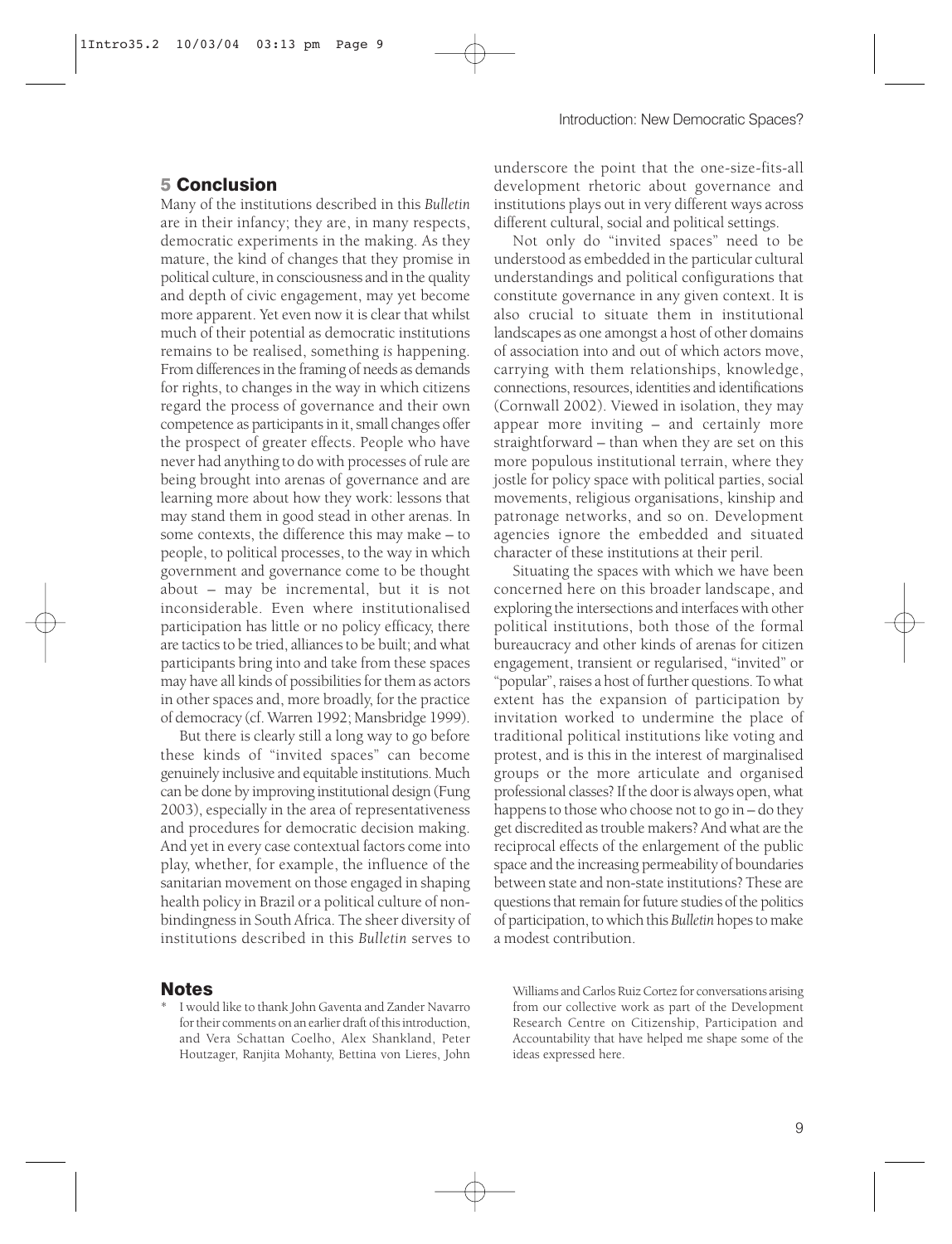# 5 Conclusion

Many of the institutions described in this *Bulletin* are in their infancy; they are, in many respects, democratic experiments in the making. As they mature, the kind of changes that they promise in political culture, in consciousness and in the quality and depth of civic engagement, may yet become more apparent. Yet even now it is clear that whilst much of their potential as democratic institutions remains to be realised, something *is* happening. Fromdifferences in the framing of needs as demands for rights, to changes in the way in which citizens regard the process of governance and their own competence as participants in it, small changes offer the prospect of greater effects. People who have never had anything to do with processes of rule are being brought into arenas of governance and are learning more about how they work: lessons that may stand them in good stead in other arenas. In some contexts, the difference this may make – to people, to political processes, to the way in which government and governance come to be thought about – may be incremental, but it is not inconsiderable. Even where institutionalised participation has little or no policy efficacy, there are tactics to be tried, alliances to be built; and what participants bring into and take from these spaces may have all kinds of possibilities for them as actors in other spaces and, more broadly, for the practice of democracy (cf. Warren 1992; Mansbridge 1999).

But there is clearly still a long way to go before these kinds of "invited spaces" can become genuinely inclusive and equitable institutions. Much can be done by improving institutional design (Fung 2003), especially in the area of representativeness and procedures for democratic decision making. And yet in every case contextual factors come into play, whether, for example, the influence of the sanitarian movement on those engaged in shaping health policy in Brazil or a political culture of nonbindingness in South Africa. The sheer diversity of institutions described in this *Bulletin* serves to

#### Notes

I would like to thank John Gaventa and Zander Navarro for their comments on an earlier draft of this introduction, and Vera Schattan Coelho, Alex Shankland, Peter Houtzager, Ranjita Mohanty, Bettina von Lieres, John

underscore the point that the one-size-fits-all development rhetoric about governance and institutions plays out in very different ways across different cultural, social and political settings.

Not only do "invited spaces" need to be understood as embedded in the particular cultural understandings and political configurations that constitute governance in any given context. It is also crucial to situate them in institutional landscapes as one amongst a host of other domains of association into and out of which actors move, carrying with them relationships, knowledge, connections, resources, identities and identifications (Cornwall 2002). Viewed in isolation, they may appear more inviting – and certainly more straightforward – than when they are set on this more populous institutional terrain, where they jostle for policy space with political parties, social movements, religious organisations, kinship and patronage networks, and so on. Development agencies ignore the embedded and situated character of these institutions at their peril.

Situating the spaces with which we have been concerned here on this broader landscape, and exploring the intersections and interfaces with other political institutions, both those of the formal bureaucracy and other kinds of arenas for citizen engagement, transient or regularised, "invited" or "popular", raises a host of further questions. To what extent has the expansion of participation by invitation worked to undermine the place of traditional political institutions like voting and protest, and is this in the interest of marginalised groups or the more articulate and organised professional classes? If the door is always open, what happens to those who choose not to go in–do they get discredited as trouble makers? And what are the reciprocal effects of the enlargement of the public space and the increasing permeability of boundaries between state and non-state institutions? These are questions that remain for future studies of the politics of participation, to which this *Bulletin* hopes to make a modest contribution.

Williams andCarlos Ruiz Cortez for conversations arising from our collective work as part of the Development Research Centre on Citizenship, Participation and Accountability that have helped me shape some of the ideas expressed here.